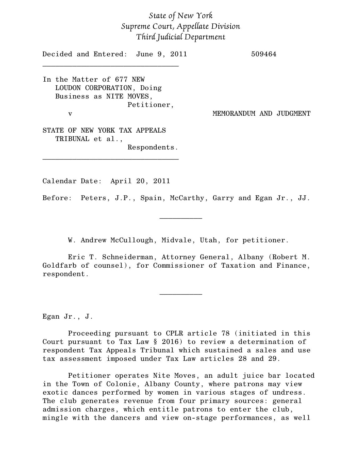## *State of New York Supreme Court, Appellate Division Third Judicial Department*

Decided and Entered: June 9, 2011 509464 \_\_\_\_\_\_\_\_\_\_\_\_\_\_\_\_\_\_\_\_\_\_\_\_\_\_\_\_\_\_\_\_

In the Matter of 677 NEW LOUDON CORPORATION, Doing Business as NITE MOVES, Petitioner, v MEMORANDUM AND JUDGMENT

STATE OF NEW YORK TAX APPEALS TRIBUNAL et al., Respondents.

\_\_\_\_\_\_\_\_\_\_\_\_\_\_\_\_\_\_\_\_\_\_\_\_\_\_\_\_\_\_\_\_

Calendar Date: April 20, 2011

Before: Peters, J.P., Spain, McCarthy, Garry and Egan Jr., JJ.

W. Andrew McCullough, Midvale, Utah, for petitioner.

 $\frac{1}{2}$ 

Eric T. Schneiderman, Attorney General, Albany (Robert M. Goldfarb of counsel), for Commissioner of Taxation and Finance, respondent.

 $\frac{1}{2}$ 

Egan Jr., J.

 Proceeding pursuant to CPLR article 78 (initiated in this Court pursuant to Tax Law § 2016) to review a determination of respondent Tax Appeals Tribunal which sustained a sales and use tax assessment imposed under Tax Law articles 28 and 29.

 Petitioner operates Nite Moves, an adult juice bar located in the Town of Colonie, Albany County, where patrons may view exotic dances performed by women in various stages of undress. The club generates revenue from four primary sources: general admission charges, which entitle patrons to enter the club, mingle with the dancers and view on-stage performances, as well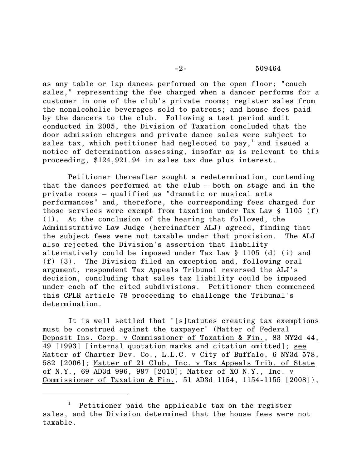as any table or lap dances performed on the open floor; "couch sales," representing the fee charged when a dancer performs for a customer in one of the club's private rooms; register sales from the nonalcoholic beverages sold to patrons; and house fees paid by the dancers to the club. Following a test period audit conducted in 2005, the Division of Taxation concluded that the door admission charges and private dance sales were subject to sales tax, which petitioner had neglected to pay,<sup>1</sup> and issued a notice of determination assessing, insofar as is relevant to this proceeding, \$124,921.94 in sales tax due plus interest.

 Petitioner thereafter sought a redetermination, contending that the dances performed at the club – both on stage and in the private rooms – qualified as "dramatic or musical arts performances" and, therefore, the corresponding fees charged for those services were exempt from taxation under Tax Law § 1105 (f) (1). At the conclusion of the hearing that followed, the Administrative Law Judge (hereinafter ALJ) agreed, finding that the subject fees were not taxable under that provision. The ALJ also rejected the Division's assertion that liability alternatively could be imposed under Tax Law § 1105 (d) (i) and (f) (3). The Division filed an exception and, following oral argument, respondent Tax Appeals Tribunal reversed the ALJ's decision, concluding that sales tax liability could be imposed under each of the cited subdivisions. Petitioner then commenced this CPLR article 78 proceeding to challenge the Tribunal's determination.

 It is well settled that "[s]tatutes creating tax exemptions must be construed against the taxpayer" (Matter of Federal Deposit Ins. Corp. v Commissioner of Taxation & Fin., 83 NY2d 44, 49 [1993] [internal quotation marks and citation omitted]; see Matter of Charter Dev. Co., L.L.C. v City of Buffalo, 6 NY3d 578, 582 [2006]; Matter of 21 Club, Inc. v Tax Appeals Trib. of State of N.Y., 69 AD3d 996, 997 [2010]; Matter of XO N.Y., Inc. v Commissioner of Taxation & Fin., 51 AD3d 1154, 1154-1155 [2008]),

Petitioner paid the applicable tax on the register sales, and the Division determined that the house fees were not taxable.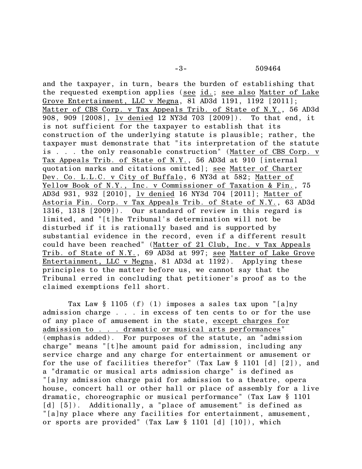and the taxpayer, in turn, bears the burden of establishing that the requested exemption applies (see id.; see also Matter of Lake Grove Entertainment, LLC v Megna, 81 AD3d 1191, 1192 [2011]; Matter of CBS Corp. v Tax Appeals Trib. of State of N.Y., 56 AD3d 908, 909 [2008], lv denied 12 NY3d 703 [2009]). To that end, it is not sufficient for the taxpayer to establish that its construction of the underlying statute is plausible; rather, the taxpayer must demonstrate that "its interpretation of the statute is . . . the only reasonable construction" (Matter of CBS Corp. v Tax Appeals Trib. of State of N.Y., 56 AD3d at 910 [internal quotation marks and citations omitted]; see Matter of Charter Dev. Co. L.L.C. v City of Buffalo, 6 NY3d at 582; Matter of Yellow Book of N.Y., Inc. v Commissioner of Taxation & Fin., 75 AD3d 931, 932 [2010], lv denied 16 NY3d 704 [2011]; Matter of Astoria Fin. Corp. v Tax Appeals Trib. of State of N.Y., 63 AD3d 1316, 1318 [2009]). Our standard of review in this regard is limited, and "[t]he Tribunal's determination will not be disturbed if it is rationally based and is supported by substantial evidence in the record, even if a different result could have been reached" (Matter of 21 Club, Inc. v Tax Appeals Trib. of State of N.Y., 69 AD3d at 997; see Matter of Lake Grove Entertainment, LLC v Megna, 81 AD3d at 1192). Applying these principles to the matter before us, we cannot say that the Tribunal erred in concluding that petitioner's proof as to the claimed exemptions fell short.

 Tax Law § 1105 (f) (1) imposes a sales tax upon "[a]ny admission charge . . . in excess of ten cents to or for the use of any place of amusement in the state, except charges for admission to . . . dramatic or musical arts performances" (emphasis added). For purposes of the statute, an "admission charge" means "[t]he amount paid for admission, including any service charge and any charge for entertainment or amusement or for the use of facilities therefor" (Tax Law § 1101 [d] [2]), and a "dramatic or musical arts admission charge" is defined as "[a]ny admission charge paid for admission to a theatre, opera house, concert hall or other hall or place of assembly for a live dramatic, choreographic or musical performance" (Tax Law § 1101 [d] [5]). Additionally, a "place of amusement" is defined as "[a]ny place where any facilities for entertainment, amusement, or sports are provided" (Tax Law § 1101 [d] [10]), which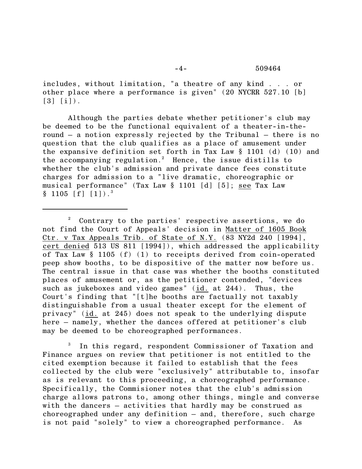includes, without limitation, "a theatre of any kind . . . or other place where a performance is given" (20 NYCRR 527.10 [b]  $\lceil 3 \rceil$   $\lceil i \rceil$ ).

 Although the parties debate whether petitioner's club may be deemed to be the functional equivalent of a theater-in-theround – a notion expressly rejected by the Tribunal — there is no question that the club qualifies as a place of amusement under the expansive definition set forth in Tax Law § 1101 (d) (10) and the accompanying regulation.<sup>2</sup> Hence, the issue distills to whether the club's admission and private dance fees constitute charges for admission to a "live dramatic, choreographic or musical performance" (Tax Law § 1101 [d] [5]; see Tax Law  $§ 1105 [f] [1]$ .

In this regard, respondent Commissioner of Taxation and Finance argues on review that petitioner is not entitled to the cited exemption because it failed to establish that the fees collected by the club were "exclusively" attributable to, insofar as is relevant to this proceeding, a choreographed performance. Specifically, the Commisioner notes that the club's admission charge allows patrons to, among other things, mingle and converse with the dancers – activities that hardly may be construed as choreographed under any definition – and, therefore, such charge is not paid "solely" to view a choreographed performance. As

Contrary to the parties' respective assertions, we do not find the Court of Appeals' decision in Matter of 1605 Book Ctr. v Tax Appeals Trib. of State of N.Y. (83 NY2d 240 [1994], cert denied 513 US 811 [1994]), which addressed the applicability of Tax Law § 1105 (f) (1) to receipts derived from coin-operated peep show booths, to be dispositive of the matter now before us. The central issue in that case was whether the booths constituted places of amusement or, as the petitioner contended, "devices such as jukeboxes and video games" (id. at 244). Thus, the Court's finding that "[t]he booths are factually not taxably distinguishable from a usual theater except for the element of privacy" (id. at 245) does not speak to the underlying dispute here – namely, whether the dances offered at petitioner's club may be deemed to be choreographed performances.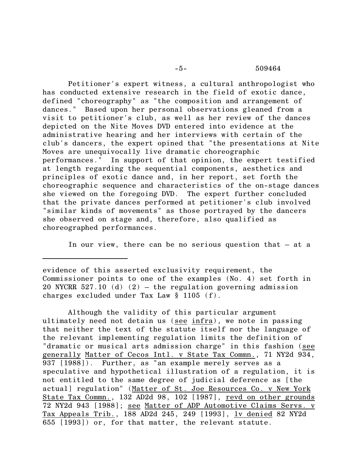## -5- 509464

 Petitioner's expert witness, a cultural anthropologist who has conducted extensive research in the field of exotic dance, defined "choreography" as "the composition and arrangement of dances." Based upon her personal observations gleaned from a visit to petitioner's club, as well as her review of the dances depicted on the Nite Moves DVD entered into evidence at the administrative hearing and her interviews with certain of the club's dancers, the expert opined that "the presentations at Nite Moves are unequivocally live dramatic choreographic performances." In support of that opinion, the expert testified at length regarding the sequential components, aesthetics and principles of exotic dance and, in her report, set forth the choreographic sequence and characteristics of the on-stage dances she viewed on the foregoing DVD. The expert further concluded that the private dances performed at petitioner's club involved "similar kinds of movements" as those portrayed by the dancers she observed on stage and, therefore, also qualified as choreographed performances.

In our view, there can be no serious question that – at a

evidence of this asserted exclusivity requirement, the Commissioner points to one of the examples (No. 4) set forth in 20 NYCRR 527.10 (d)  $(2)$  – the regulation governing admission charges excluded under Tax Law  $\S$  1105 (f).

Although the validity of this particular argument ultimately need not detain us (see infra), we note in passing that neither the text of the statute itself nor the language of the relevant implementing regulation limits the definition of "dramatic or musical arts admission charge" in this fashion (see generally Matter of Cecos Intl. v State Tax Commn., 71 NY2d 934, 937 [1988]). Further, as "an example merely serves as a speculative and hypothetical illustration of a regulation, it is not entitled to the same degree of judicial deference as [the actual] regulation" (Matter of St. Joe Resources Co. v New York State Tax Commn., 132 AD2d 98, 102 [1987], revd on other grounds 72 NY2d 943 [1988]; see Matter of ADP Automotive Claims Servs. v Tax Appeals Trib., 188 AD2d 245, 249 [1993], lv denied 82 NY2d 655 [1993]) or, for that matter, the relevant statute.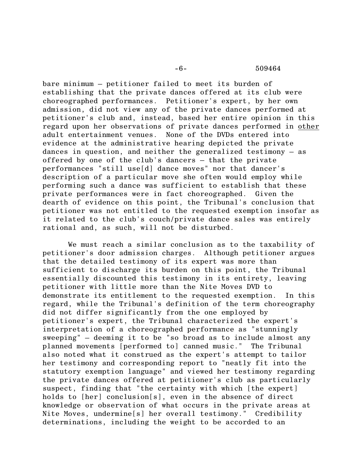-6- 509464

bare minimum – petitioner failed to meet its burden of establishing that the private dances offered at its club were choreographed performances. Petitioner's expert, by her own admission, did not view any of the private dances performed at petitioner's club and, instead, based her entire opinion in this regard upon her observations of private dances performed in other adult entertainment venues. None of the DVDs entered into evidence at the administrative hearing depicted the private dances in question, and neither the generalized testimony – as offered by one of the club's dancers – that the private performances "still use[d] dance moves" nor that dancer's description of a particular move she often would employ while performing such a dance was sufficient to establish that these private performances were in fact choreographed. Given the dearth of evidence on this point, the Tribunal's conclusion that petitioner was not entitled to the requested exemption insofar as it related to the club's couch/private dance sales was entirely rational and, as such, will not be disturbed.

 We must reach a similar conclusion as to the taxability of petitioner's door admission charges. Although petitioner argues that the detailed testimony of its expert was more than sufficient to discharge its burden on this point, the Tribunal essentially discounted this testimony in its entirety, leaving petitioner with little more than the Nite Moves DVD to demonstrate its entitlement to the requested exemption. In this regard, while the Tribunal's definition of the term choreography did not differ significantly from the one employed by petitioner's expert, the Tribunal characterized the expert's interpretation of a choreographed performance as "stunningly sweeping" – deeming it to be "so broad as to include almost any planned movements [performed to] canned music." The Tribunal also noted what it construed as the expert's attempt to tailor her testimony and corresponding report to "neatly fit into the statutory exemption language" and viewed her testimony regarding the private dances offered at petitioner's club as particularly suspect, finding that "the certainty with which [the expert] holds to [her] conclusion[s], even in the absence of direct knowledge or observation of what occurs in the private areas at Nite Moves, undermine[s] her overall testimony." Credibility determinations, including the weight to be accorded to an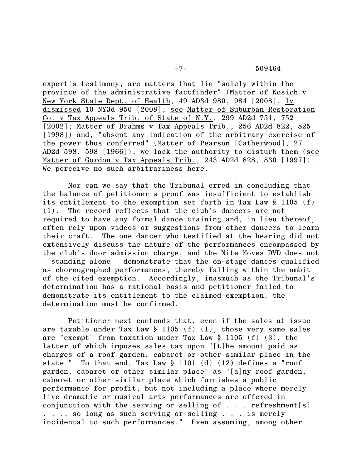expert's testimony, are matters that lie "solely within the province of the administrative factfinder" (Matter of Kosich v New York State Dept. of Health, 49 AD3d 980, 984 [2008], lv dismissed 10 NY3d 950 [2008]; see Matter of Suburban Restoration Co. v Tax Appeals Trib. of State of N.Y., 299 AD2d 751, 752 [2002]; Matter of Brahms v Tax Appeals Trib., 256 AD2d 822, 825 [1998]) and, "absent any indication of the arbitrary exercise of the power thus conferred" (Matter of Pearson [Catherwood], 27 AD2d 598, 598 [1966]), we lack the authority to disturb them (see Matter of Gordon v Tax Appeals Trib., 243 AD2d 828, 830 [1997]). We perceive no such arbitrariness here.

 Nor can we say that the Tribunal erred in concluding that the balance of petitioner's proof was insufficient to establish its entitlement to the exemption set forth in Tax Law § 1105 (f) (1). The record reflects that the club's dancers are not required to have any formal dance training and, in lieu thereof, often rely upon videos or suggestions from other dancers to learn their craft. The one dancer who testified at the hearing did not extensively discuss the nature of the performances encompassed by the club's door admission charge, and the Nite Moves DVD does not – standing alone – demonstrate that the on-stage dances qualified as choreographed performances, thereby falling within the ambit of the cited exemption. Accordingly, inasmuch as the Tribunal's determination has a rational basis and petitioner failed to demonstrate its entitlement to the claimed exemption, the determination must be confirmed.

 Petitioner next contends that, even if the sales at issue are taxable under Tax Law  $\S$  1105 (f) (1), those very same sales are "exempt" from taxation under Tax Law § 1105 (f) (3), the latter of which imposes sales tax upon "[t]he amount paid as charges of a roof garden, cabaret or other similar place in the state." To that end, Tax Law § 1101 (d) (12) defines a "roof garden, cabaret or other similar place" as "[a]ny roof garden, cabaret or other similar place which furnishes a public performance for profit, but not including a place where merely live dramatic or musical arts performances are offered in conjunction with the serving or selling of . . . refreshment[s] . . ., so long as such serving or selling . . . is merely incidental to such performances." Even assuming, among other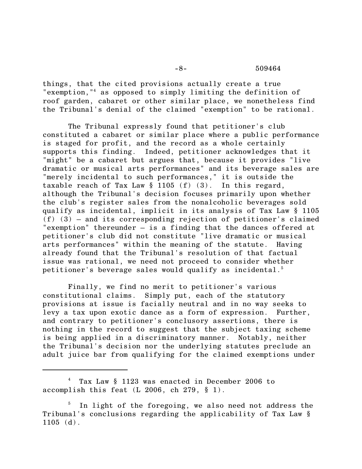## -8- 509464

things, that the cited provisions actually create a true "exemption,"<sup>4</sup> as opposed to simply limiting the definition of roof garden, cabaret or other similar place, we nonetheless find the Tribunal's denial of the claimed "exemption" to be rational.

 The Tribunal expressly found that petitioner's club constituted a cabaret or similar place where a public performance is staged for profit, and the record as a whole certainly supports this finding. Indeed, petitioner acknowledges that it "might" be a cabaret but argues that, because it provides "live dramatic or musical arts performances" and its beverage sales are "merely incidental to such performances," it is outside the taxable reach of Tax Law  $\S$  1105 (f) (3). In this regard, although the Tribunal's decision focuses primarily upon whether the club's register sales from the nonalcoholic beverages sold qualify as incidental, implicit in its analysis of Tax Law § 1105  $(f)$   $(3)$  – and its corresponding rejection of petitioner's claimed "exemption" thereunder – is a finding that the dances offered at petitioner's club did not constitute "live dramatic or musical arts performances" within the meaning of the statute. Having already found that the Tribunal's resolution of that factual issue was rational, we need not proceed to consider whether petitioner's beverage sales would qualify as incidental. $^5$ 

 Finally, we find no merit to petitioner's various constitutional claims. Simply put, each of the statutory provisions at issue is facially neutral and in no way seeks to levy a tax upon exotic dance as a form of expression. Further, and contrary to petitioner's conclusory assertions, there is nothing in the record to suggest that the subject taxing scheme is being applied in a discriminatory manner. Notably, neither the Tribunal's decision nor the underlying statutes preclude an adult juice bar from qualifying for the claimed exemptions under

Tax Law § 1123 was enacted in December 2006 to <sup>4</sup> accomplish this feat (L 2006, ch 279, § 1).

In light of the foregoing, we also need not address the Tribunal's conclusions regarding the applicability of Tax Law §  $1105$  (d).